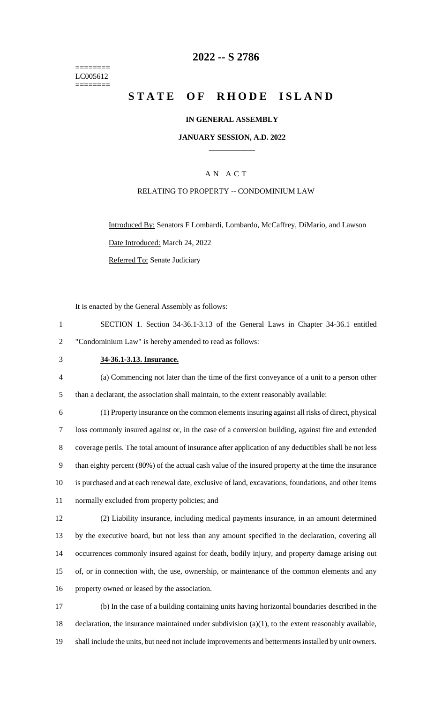======== LC005612 ========

## **-- S 2786**

# **STATE OF RHODE ISLAND**

### **IN GENERAL ASSEMBLY**

### **JANUARY SESSION, A.D. 2022 \_\_\_\_\_\_\_\_\_\_\_\_**

## A N A C T

### RELATING TO PROPERTY -- CONDOMINIUM LAW

Introduced By: Senators F Lombardi, Lombardo, McCaffrey, DiMario, and Lawson Date Introduced: March 24, 2022 Referred To: Senate Judiciary

It is enacted by the General Assembly as follows:

|   | SECTION 1. Section 34-36.1-3.13 of the General Laws in Chapter 34-36.1 entitled |  |  |  |  |
|---|---------------------------------------------------------------------------------|--|--|--|--|
| 2 | "Condominium Law" is hereby amended to read as follows:                         |  |  |  |  |

## **34-36.1-3.13. Insurance.**

 (a) Commencing not later than the time of the first conveyance of a unit to a person other than a declarant, the association shall maintain, to the extent reasonably available:

 (1) Property insurance on the common elements insuring against all risks of direct, physical loss commonly insured against or, in the case of a conversion building, against fire and extended coverage perils. The total amount of insurance after application of any deductibles shall be not less than eighty percent (80%) of the actual cash value of the insured property at the time the insurance is purchased and at each renewal date, exclusive of land, excavations, foundations, and other items normally excluded from property policies; and

 (2) Liability insurance, including medical payments insurance, in an amount determined by the executive board, but not less than any amount specified in the declaration, covering all occurrences commonly insured against for death, bodily injury, and property damage arising out of, or in connection with, the use, ownership, or maintenance of the common elements and any property owned or leased by the association.

 (b) In the case of a building containing units having horizontal boundaries described in the declaration, the insurance maintained under subdivision (a)(1), to the extent reasonably available, shall include the units, but need not include improvements and betterments installed by unit owners.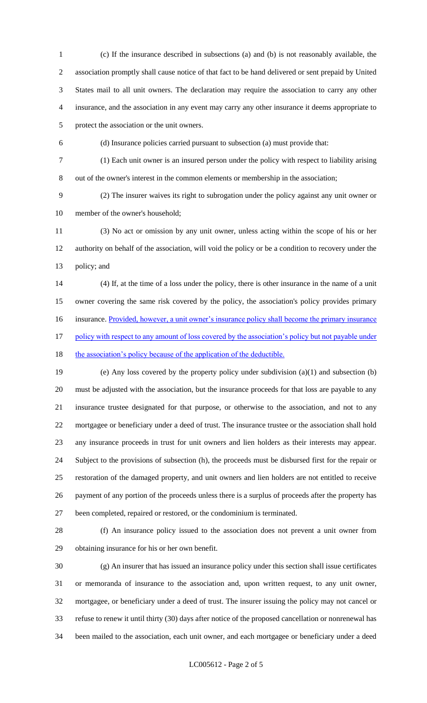(c) If the insurance described in subsections (a) and (b) is not reasonably available, the association promptly shall cause notice of that fact to be hand delivered or sent prepaid by United States mail to all unit owners. The declaration may require the association to carry any other insurance, and the association in any event may carry any other insurance it deems appropriate to protect the association or the unit owners.

(d) Insurance policies carried pursuant to subsection (a) must provide that:

 (1) Each unit owner is an insured person under the policy with respect to liability arising out of the owner's interest in the common elements or membership in the association;

 (2) The insurer waives its right to subrogation under the policy against any unit owner or member of the owner's household;

 (3) No act or omission by any unit owner, unless acting within the scope of his or her authority on behalf of the association, will void the policy or be a condition to recovery under the policy; and

 (4) If, at the time of a loss under the policy, there is other insurance in the name of a unit owner covering the same risk covered by the policy, the association's policy provides primary 16 insurance. Provided, however, a unit owner's insurance policy shall become the primary insurance 17 policy with respect to any amount of loss covered by the association's policy but not payable under

18 the association's policy because of the application of the deductible.

 (e) Any loss covered by the property policy under subdivision (a)(1) and subsection (b) must be adjusted with the association, but the insurance proceeds for that loss are payable to any insurance trustee designated for that purpose, or otherwise to the association, and not to any mortgagee or beneficiary under a deed of trust. The insurance trustee or the association shall hold any insurance proceeds in trust for unit owners and lien holders as their interests may appear. Subject to the provisions of subsection (h), the proceeds must be disbursed first for the repair or restoration of the damaged property, and unit owners and lien holders are not entitled to receive payment of any portion of the proceeds unless there is a surplus of proceeds after the property has been completed, repaired or restored, or the condominium is terminated.

 (f) An insurance policy issued to the association does not prevent a unit owner from obtaining insurance for his or her own benefit.

 (g) An insurer that has issued an insurance policy under this section shall issue certificates or memoranda of insurance to the association and, upon written request, to any unit owner, mortgagee, or beneficiary under a deed of trust. The insurer issuing the policy may not cancel or refuse to renew it until thirty (30) days after notice of the proposed cancellation or nonrenewal has been mailed to the association, each unit owner, and each mortgagee or beneficiary under a deed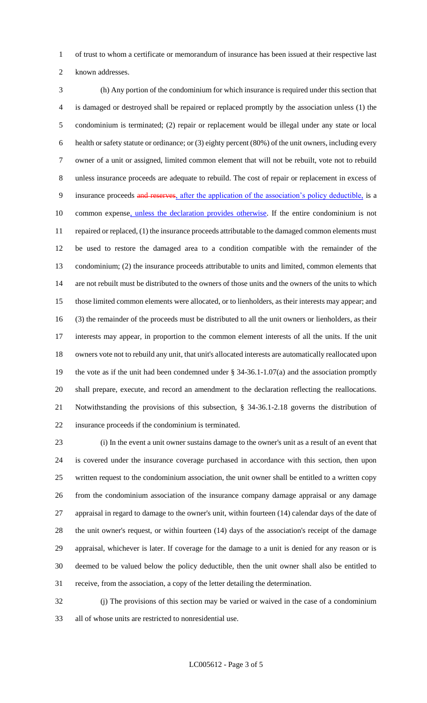of trust to whom a certificate or memorandum of insurance has been issued at their respective last

known addresses.

 (h) Any portion of the condominium for which insurance is required under this section that is damaged or destroyed shall be repaired or replaced promptly by the association unless (1) the condominium is terminated; (2) repair or replacement would be illegal under any state or local health or safety statute or ordinance; or (3) eighty percent (80%) of the unit owners, including every owner of a unit or assigned, limited common element that will not be rebuilt, vote not to rebuild unless insurance proceeds are adequate to rebuild. The cost of repair or replacement in excess of 9 insurance proceeds and reserves, after the application of the association's policy deductible, is a 10 common expense, unless the declaration provides otherwise. If the entire condominium is not 11 repaired or replaced, (1) the insurance proceeds attributable to the damaged common elements must be used to restore the damaged area to a condition compatible with the remainder of the condominium; (2) the insurance proceeds attributable to units and limited, common elements that are not rebuilt must be distributed to the owners of those units and the owners of the units to which those limited common elements were allocated, or to lienholders, as their interests may appear; and (3) the remainder of the proceeds must be distributed to all the unit owners or lienholders, as their interests may appear, in proportion to the common element interests of all the units. If the unit owners vote not to rebuild any unit, that unit's allocated interests are automatically reallocated upon the vote as if the unit had been condemned under § 34-36.1-1.07(a) and the association promptly shall prepare, execute, and record an amendment to the declaration reflecting the reallocations. Notwithstanding the provisions of this subsection, § 34-36.1-2.18 governs the distribution of insurance proceeds if the condominium is terminated.

 (i) In the event a unit owner sustains damage to the owner's unit as a result of an event that is covered under the insurance coverage purchased in accordance with this section, then upon written request to the condominium association, the unit owner shall be entitled to a written copy from the condominium association of the insurance company damage appraisal or any damage appraisal in regard to damage to the owner's unit, within fourteen (14) calendar days of the date of the unit owner's request, or within fourteen (14) days of the association's receipt of the damage appraisal, whichever is later. If coverage for the damage to a unit is denied for any reason or is deemed to be valued below the policy deductible, then the unit owner shall also be entitled to receive, from the association, a copy of the letter detailing the determination.

 (j) The provisions of this section may be varied or waived in the case of a condominium all of whose units are restricted to nonresidential use.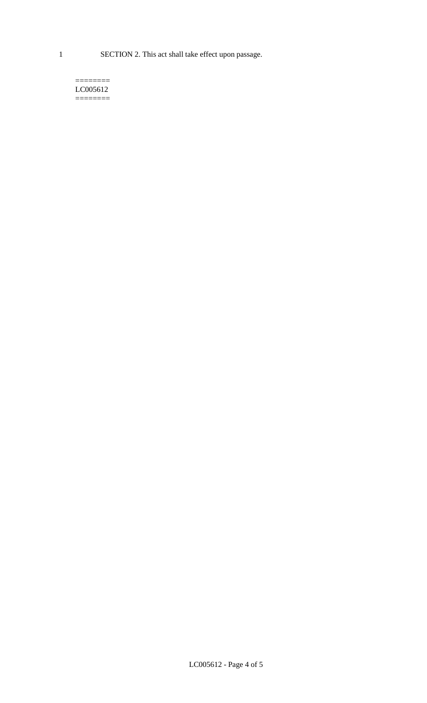1 SECTION 2. This act shall take effect upon passage.

#### $=$ LC005612 ========